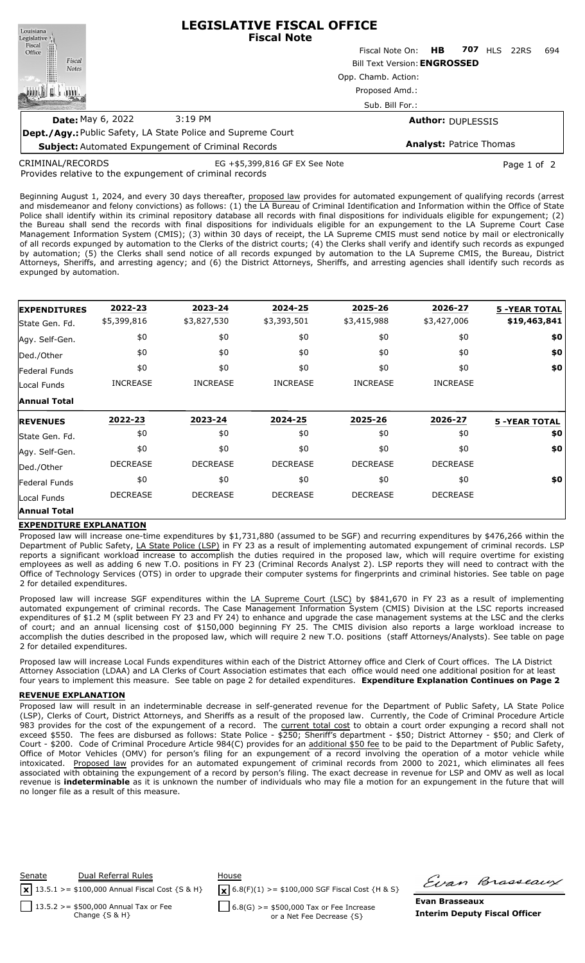| Louisiana<br>Legislative <sup>1</sup>                     | <b>LEGISLATIVE FISCAL OFFICE</b><br><b>Fiscal Note</b>                       |                                |     |     |     |      |     |
|-----------------------------------------------------------|------------------------------------------------------------------------------|--------------------------------|-----|-----|-----|------|-----|
| Fiscal<br>Office                                          |                                                                              | Fiscal Note On:                | HB. | 707 | HIS | 22RS | 694 |
| Fiscal<br><b>Notes</b>                                    | <b>Bill Text Version: ENGROSSED</b><br>Opp. Chamb. Action:<br>Proposed Amd.: |                                |     |     |     |      |     |
|                                                           |                                                                              |                                |     |     |     |      |     |
|                                                           |                                                                              |                                |     |     |     |      |     |
|                                                           | Sub. Bill For.:                                                              |                                |     |     |     |      |     |
| <b>Date:</b> May 6, 2022                                  | 3:19 PM                                                                      | <b>Author: DUPLESSIS</b>       |     |     |     |      |     |
|                                                           | <b>Dept./Agy.: Public Safety, LA State Police and Supreme Court</b>          |                                |     |     |     |      |     |
| <b>Subject:</b> Automated Expundement of Criminal Records |                                                                              | <b>Analyst: Patrice Thomas</b> |     |     |     |      |     |

CRIMINAL/RECORDS

EG +\$5,399,816 GF EX See Note Page 1 of 2

Provides relative to the expungement of criminal records

**Subject:** Automated Expungement of Criminal Records

Beginning August 1, 2024, and every 30 days thereafter, proposed law provides for automated expungement of qualifying records (arrest and misdemeanor and felony convictions) as follows: (1) the LA Bureau of Criminal Identification and Information within the Office of State Police shall identify within its criminal repository database all records with final dispositions for individuals eligible for expungement; (2) the Bureau shall send the records with final dispositions for individuals eligible for an expungement to the LA Supreme Court Case Management Information System (CMIS); (3) within 30 days of receipt, the LA Supreme CMIS must send notice by mail or electronically of all records expunged by automation to the Clerks of the district courts; (4) the Clerks shall verify and identify such records as expunged by automation; (5) the Clerks shall send notice of all records expunged by automation to the LA Supreme CMIS, the Bureau, District Attorneys, Sheriffs, and arresting agency; and (6) the District Attorneys, Sheriffs, and arresting agencies shall identify such records as expunged by automation.

| <b>EXPENDITURES</b>  | 2022-23         | 2023-24         | 2024-25         | 2025-26         | 2026-27         | <b>5 -YEAR TOTAL</b> |
|----------------------|-----------------|-----------------|-----------------|-----------------|-----------------|----------------------|
| State Gen. Fd.       | \$5,399,816     | \$3,827,530     | \$3,393,501     | \$3,415,988     | \$3,427,006     | \$19,463,841         |
| Agy. Self-Gen.       | \$0             | \$0             | \$0             | \$0             | \$0             | \$0                  |
| Ded./Other           | \$0             | \$0             | \$0             | \$0             | \$0             | \$0                  |
| <b>Federal Funds</b> | \$0             | \$0             | \$0             | \$0             | \$0             | \$0                  |
| Local Funds          | <b>INCREASE</b> | <b>INCREASE</b> | <b>INCREASE</b> | <b>INCREASE</b> | <b>INCREASE</b> |                      |
| <b>Annual Total</b>  |                 |                 |                 |                 |                 |                      |
| <b>REVENUES</b>      | 2022-23         | 2023-24         | 2024-25         | 2025-26         | 2026-27         | <b>5 -YEAR TOTAL</b> |
| State Gen. Fd.       | \$0             | \$0             | \$0             | \$0             | \$0             | \$0                  |
| Agy. Self-Gen.       | \$0             | \$0             | \$0             | \$0             | \$0             | \$0                  |
| Ded./Other           | <b>DECREASE</b> | <b>DECREASE</b> | <b>DECREASE</b> | <b>DECREASE</b> | <b>DECREASE</b> |                      |
| <b>Federal Funds</b> | \$0             | \$0             | \$0             | \$0             | \$0             | \$0                  |
|                      |                 |                 |                 |                 | <b>DECREASE</b> |                      |
| Local Funds          | <b>DECREASE</b> | <b>DECREASE</b> | <b>DECREASE</b> | <b>DECREASE</b> |                 |                      |

## **EXPENDITURE EXPLANATION**

Proposed law will increase one-time expenditures by \$1,731,880 (assumed to be SGF) and recurring expenditures by \$476,266 within the Department of Public Safety, LA State Police (LSP) in FY 23 as a result of implementing automated expungement of criminal records. LSP reports a significant workload increase to accomplish the duties required in the proposed law, which will require overtime for existing employees as well as adding 6 new T.O. positions in FY 23 (Criminal Records Analyst 2). LSP reports they will need to contract with the Office of Technology Services (OTS) in order to upgrade their computer systems for fingerprints and criminal histories. See table on page 2 for detailed expenditures.

Proposed law will increase SGF expenditures within the LA Supreme Court (LSC) by \$841,670 in FY 23 as a result of implementing automated expungement of criminal records. The Case Management Information System (CMIS) Division at the LSC reports increased expenditures of \$1.2 M (split between FY 23 and FY 24) to enhance and upgrade the case management systems at the LSC and the clerks of court; and an annual licensing cost of \$150,000 beginning FY 25. The CMIS division also reports a large workload increase to accomplish the duties described in the proposed law, which will require 2 new T.O. positions (staff Attorneys/Analysts). See table on page 2 for detailed expenditures.

Proposed law will increase Local Funds expenditures within each of the District Attorney office and Clerk of Court offices. The LA District Attorney Association (LDAA) and LA Clerks of Court Association estimates that each office would need one additional position for at least four years to implement this measure. See table on page 2 for detailed expenditures. **Expenditure Explanation Continues on Page 2**

## **REVENUE EXPLANATION**

Proposed law will result in an indeterminable decrease in self-generated revenue for the Department of Public Safety, LA State Police (LSP), Clerks of Court, District Attorneys, and Sheriffs as a result of the proposed law. Currently, the Code of Criminal Procedure Article 983 provides for the cost of the expungement of a record. The current total cost to obtain a court order expunging a record shall not exceed \$550. The fees are disbursed as follows: State Police - \$250; Sheriff's department - \$50; District Attorney - \$50; and Clerk of Court - \$200. Code of Criminal Procedure Article 984(C) provides for an additional \$50 fee to be paid to the Department of Public Safety, Office of Motor Vehicles (OMV) for person's filing for an expungement of a record involving the operation of a motor vehicle while intoxicated. Proposed law provides for an automated expungement of criminal records from 2000 to 2021, which eliminates all fees associated with obtaining the expungement of a record by person's filing. The exact decrease in revenue for LSP and OMV as well as local revenue is **indeterminable** as it is unknown the number of individuals who may file a motion for an expungement in the future that will no longer file as a result of this measure.



Firan Brasseaux

**Evan Brasseaux Interim Deputy Fiscal Officer**